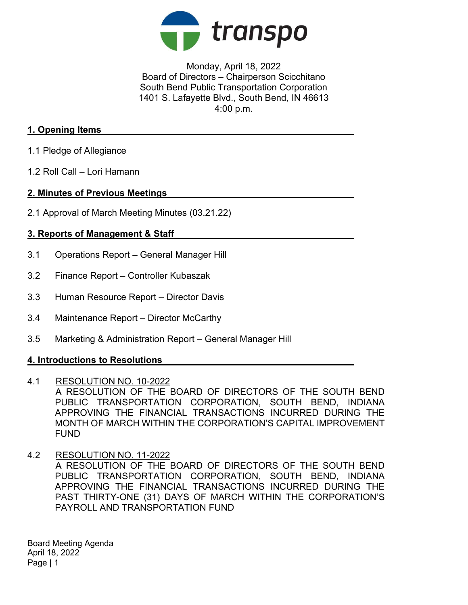

Monday, April 18, 2022 Board of Directors – Chairperson Scicchitano South Bend Public Transportation Corporation 1401 S. Lafayette Blvd., South Bend, IN 46613 4:00 p.m.

## 1. Opening Items

- 1.1 Pledge of Allegiance
- 1.2 Roll Call Lori Hamann

## 2. Minutes of Previous Meetings

2.1 Approval of March Meeting Minutes (03.21.22)

# 3. Reports of Management & Staff

- 3.1 Operations Report General Manager Hill
- 3.2 Finance Report Controller Kubaszak
- 3.3 Human Resource Report Director Davis
- 3.4 Maintenance Report Director McCarthy
- 3.5 Marketing & Administration Report General Manager Hill

## 4. Introductions to Resolutions

- 4.1 RESOLUTION NO. 10-2022 A RESOLUTION OF THE BOARD OF DIRECTORS OF THE SOUTH BEND PUBLIC TRANSPORTATION CORPORATION, SOUTH BEND, INDIANA APPROVING THE FINANCIAL TRANSACTIONS INCURRED DURING THE MONTH OF MARCH WITHIN THE CORPORATION'S CAPITAL IMPROVEMENT FUND
- 4.2 RESOLUTION NO. 11-2022

A RESOLUTION OF THE BOARD OF DIRECTORS OF THE SOUTH BEND PUBLIC TRANSPORTATION CORPORATION, SOUTH BEND, INDIANA APPROVING THE FINANCIAL TRANSACTIONS INCURRED DURING THE PAST THIRTY-ONE (31) DAYS OF MARCH WITHIN THE CORPORATION'S PAYROLL AND TRANSPORTATION FUND

Board Meeting Agenda April 18, 2022 Page | 1